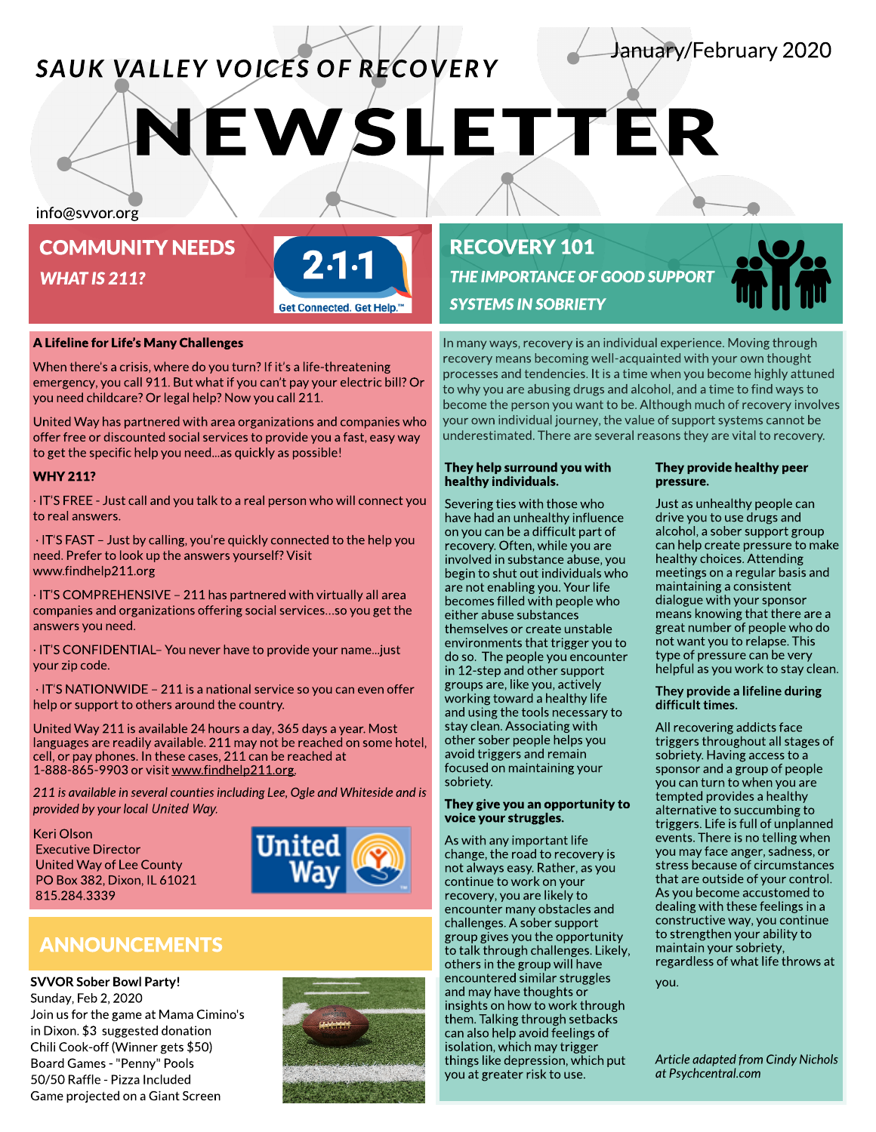# **SAUK VALLEY VOICES OF RECOVERY**

## January/February 2020

**VEWSLETTER** 

info@svvor.org

## COMMUNITY NEEDS **WHAT IS 211?**



#### A Lifeline for Life's Many Challenges

When there's a crisis, where do you turn? If it's a life-threatening emergency, you call 911. But what if you can't pay your electric bill? Or you need childcare? Or legal help? Now you call 211.

United Way has partnered with area organizations and companies who offer free or discounted social services to provide you a fast, easy way to get the specific help you need ...as quickly as possible!

#### WHY 211?

· IT?SFREE- Just call and you talk to a real person who will connect you to real answers.

 $\cdot$  IT'S FAST - Just by calling, you're quickly connected to the help you need. Prefer to look up the answers yourself? Visit www.findhelp211.org

 $\cdot$  IT'S COMPREHENSIVE - 211 has partnered with virtually all area companies and organizations offering social services...so you get the answers you need.

· IT?SCONFIDENTIAL? You never have to provide your name...just your zip code.

 $\cdot$  IT'S NATIONWIDE - 211 is a national service so you can even offer help or support to others around the country.

United Way 211 is available 24 hours a day, 365 days a year. Most languages are readily available. 211 may not be reached on some hotel, cell, or pay phones. In these cases, 211 can be reached at 1-888-865-9903 or visit [www.findhelp211.org.](http://www.findhelp211.org)

**211 isavailableinseveral countiesincludingLee,OgleandWhitesideandis providedbyyourlocal United Way.**

Keri Olson Executive Director United Way of Lee County PO Box 382, Dixon, IL 61021 815.284.3339



## ANNOUNCEMENTS

SVVOR Sober Bowl Party! Sunday, Feb 2, 2020 Join us for the game at MamaCimino's in Dixon.\$3 suggested donation Chili Cook-off (Winner gets \$50) Board Games - "Penny" Pools 50/50 Raffle - Pizza Included Game projected on aGiant Screen



## RECOVERY 101 **THE IMPORTANCE OF GOOD SUPPORT SYSTEMSIN SOBRIETY**

In many ways, recovery is an individual experience. Moving through recovery means becoming well-acquainted with your own thought processes and tendencies. It is a time when you become highly attuned to why you are abusing drugs and alcohol, and a time to find ways to become the person you want to be.Although much of recovery involves your own individual journey, the value of support systems cannot be underestimated.There are several reasons they are vital to recovery.

#### They help surround you with healthy individuals.

Severing ties with those who have had an unhealthy influence on you can be a difficult part of recovery. Often, while you are involved in substance abuse, you begin to shut out individualswho are not enabling you.Your life becomes filled with people who either abuse substances themselves or create unstable environments that trigger you to do so. The people you encounter in 12-step and other support groups are, like you, actively working toward a healthy life and using the tools necessary to stay clean. Associating with other sober people helpsyou avoid triggers and remain focused on maintaining your sobriety.

#### They give you an opportunity to voice your struggles.

Aswith any important life change, the road to recovery is not always easy. Rather, as you continue to work on your recovery, you are likely to encounter many obstacles and challenges. A sober support group gives you the opportunity to talk through challenges.Likely, others in the group will have encountered similar struggles and may have thoughts or insights on how to work through them.Talking through setbacks can also help avoid feelings of isolation,which may trigger things like depression, which put you at greater risk to use.

#### They provide healthy peer pressure.

Just as unhealthy people can drive you to use drugs and alcohol, a sober support group can help create pressure to make healthy choices.Attending meetings on a regular basis and maintaining a consistent dialogue with your sponsor means knowing that there are a great number of people who do not want you to relapse.This type of pressure can be very helpful as you work to stay clean.

#### They provide a lifeline during difficult times.

All recovering addicts face triggers throughout all stages of sobriety. Having access to a sponsor and a group of people you can turn to when you are tempted provides a healthy alternative to succumbing to triggers.Life is full of unplanned events. There is no telling when you may face anger, sadness, or stressbecause of circumstances that are outside of your control. As you become accustomed to dealing with these feelings in a constructive way, you continue to strengthen your ability to maintain your sobriety, regardless of what life throws at

you.

**Article adapted from Cindy Nichols at Psychcentral.com**